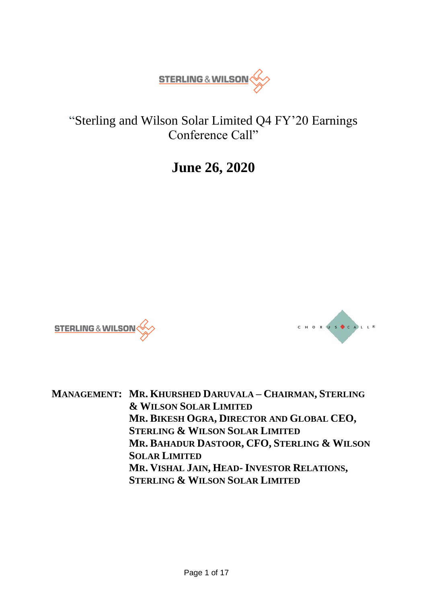

# "Sterling and Wilson Solar Limited Q4 FY'20 Earnings Conference Call"

# **June 26, 2020**





**MANAGEMENT: MR. KHURSHED DARUVALA – CHAIRMAN, STERLING & WILSON SOLAR LIMITED MR. BIKESH OGRA, DIRECTOR AND GLOBAL CEO, STERLING & WILSON SOLAR LIMITED MR. BAHADUR DASTOOR, CFO, STERLING & WILSON SOLAR LIMITED MR. VISHAL JAIN, HEAD- INVESTOR RELATIONS, STERLING & WILSON SOLAR LIMITED**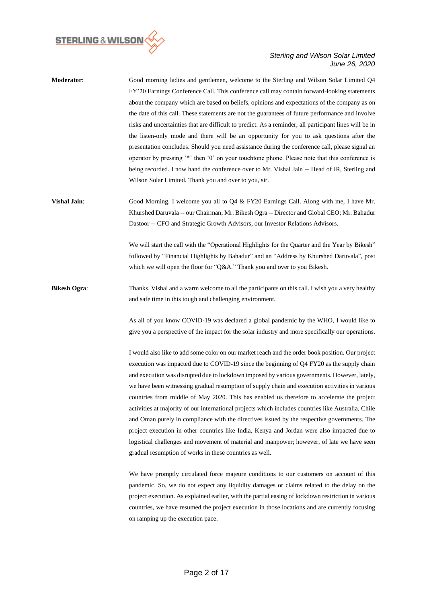

| <b>Moderator:</b> | Good morning ladies and gentlemen, welcome to the Sterling and Wilson Solar Limited Q4                 |
|-------------------|--------------------------------------------------------------------------------------------------------|
|                   | FY'20 Earnings Conference Call. This conference call may contain forward-looking statements            |
|                   | about the company which are based on beliefs, opinions and expectations of the company as on           |
|                   | the date of this call. These statements are not the guarantees of future performance and involve       |
|                   | risks and uncertainties that are difficult to predict. As a reminder, all participant lines will be in |
|                   | the listen-only mode and there will be an opportunity for you to ask questions after the               |
|                   | presentation concludes. Should you need assistance during the conference call, please signal an        |
|                   | operator by pressing "*" then '0' on your touchtone phone. Please note that this conference is         |
|                   | being recorded. I now hand the conference over to Mr. Vishal Jain -- Head of IR, Sterling and          |
|                   | Wilson Solar Limited. Thank you and over to you, sir.                                                  |
|                   |                                                                                                        |

**Vishal Jain**: Good Morning. I welcome you all to Q4 & FY20 Earnings Call. Along with me, I have Mr. Khurshed Daruvala -- our Chairman; Mr. Bikesh Ogra -- Director and Global CEO; Mr. Bahadur Dastoor -- CFO and Strategic Growth Advisors*,* our Investor Relations Advisors.

> We will start the call with the "Operational Highlights for the Quarter and the Year by Bikesh" followed by "Financial Highlights by Bahadur" and an "Address by Khurshed Daruvala", post which we will open the floor for "Q&A." Thank you and over to you Bikesh.

**Bikesh Ogra:** Thanks, Vishal and a warm welcome to all the participants on this call. I wish you a very healthy and safe time in this tough and challenging environment.

> As all of you know COVID-19 was declared a global pandemic by the WHO, I would like to give you a perspective of the impact for the solar industry and more specifically our operations.

> I would also like to add some color on our market reach and the order book position. Our project execution was impacted due to COVID-19 since the beginning of Q4 FY20 as the supply chain and execution was disrupted due to lockdown imposed by various governments. However, lately, we have been witnessing gradual resumption of supply chain and execution activities in various countries from middle of May 2020. This has enabled us therefore to accelerate the project activities at majority of our international projects which includes countries like Australia, Chile and Oman purely in compliance with the directives issued by the respective governments. The project execution in other countries like India, Kenya and Jordan were also impacted due to logistical challenges and movement of material and manpower; however, of late we have seen gradual resumption of works in these countries as well.

> We have promptly circulated force majeure conditions to our customers on account of this pandemic. So, we do not expect any liquidity damages or claims related to the delay on the project execution. As explained earlier, with the partial easing of lockdown restriction in various countries, we have resumed the project execution in those locations and are currently focusing on ramping up the execution pace.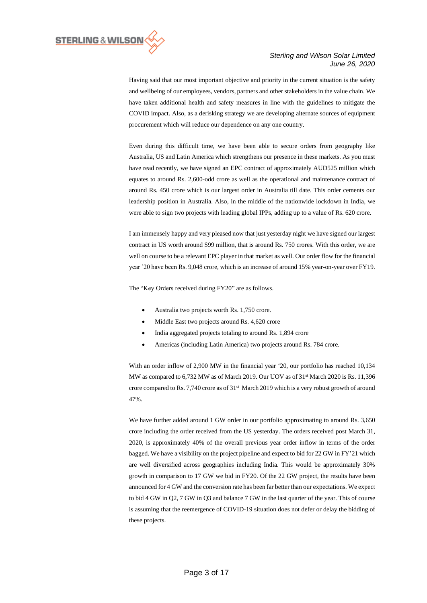

Having said that our most important objective and priority in the current situation is the safety and wellbeing of our employees, vendors, partners and other stakeholders in the value chain. We have taken additional health and safety measures in line with the guidelines to mitigate the COVID impact. Also, as a derisking strategy we are developing alternate sources of equipment procurement which will reduce our dependence on any one country.

Even during this difficult time, we have been able to secure orders from geography like Australia, US and Latin America which strengthens our presence in these markets. As you must have read recently, we have signed an EPC contract of approximately AUD525 million which equates to around Rs. 2,600-odd crore as well as the operational and maintenance contract of around Rs. 450 crore which is our largest order in Australia till date. This order cements our leadership position in Australia. Also, in the middle of the nationwide lockdown in India, we were able to sign two projects with leading global IPPs, adding up to a value of Rs. 620 crore.

I am immensely happy and very pleased now that just yesterday night we have signed our largest contract in US worth around \$99 million, that is around Rs. 750 crores. With this order, we are well on course to be a relevant EPC player in that market as well. Our order flow for the financial year '20 have been Rs. 9,048 crore, which is an increase of around 15% year-on-year over FY19.

The "Key Orders received during FY20" are as follows.

- Australia two projects worth Rs. 1,750 crore.
- Middle East two projects around Rs. 4,620 crore
- India aggregated projects totaling to around Rs. 1,894 crore
- Americas (including Latin America) two projects around Rs. 784 crore.

With an order inflow of 2,900 MW in the financial year '20, our portfolio has reached 10,134 MW as compared to 6,732 MW as of March 2019. Our UOV as of 31<sup>st</sup> March 2020 is Rs. 11,396 crore compared to Rs. 7,740 crore as of 31<sup>st</sup> March 2019 which is a very robust growth of around 47%.

We have further added around 1 GW order in our portfolio approximating to around Rs. 3,650 crore including the order received from the US yesterday. The orders received post March 31, 2020, is approximately 40% of the overall previous year order inflow in terms of the order bagged. We have a visibility on the project pipeline and expect to bid for 22 GW in FY'21 which are well diversified across geographies including India. This would be approximately 30% growth in comparison to 17 GW we bid in FY20. Of the 22 GW project, the results have been announced for 4 GW and the conversion rate has been far better than our expectations. We expect to bid 4 GW in Q2, 7 GW in Q3 and balance 7 GW in the last quarter of the year. This of course is assuming that the reemergence of COVID-19 situation does not defer or delay the bidding of these projects.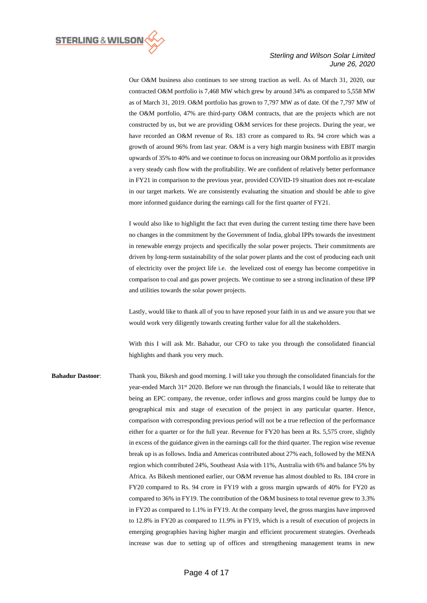

Our O&M business also continues to see strong traction as well. As of March 31, 2020, our contracted O&M portfolio is 7,468 MW which grew by around 34% as compared to 5,558 MW as of March 31, 2019. O&M portfolio has grown to 7,797 MW as of date. Of the 7,797 MW of the O&M portfolio, 47% are third-party O&M contracts, that are the projects which are not constructed by us, but we are providing O&M services for these projects. During the year, we have recorded an O&M revenue of Rs. 183 crore as compared to Rs. 94 crore which was a growth of around 96% from last year. O&M is a very high margin business with EBIT margin upwards of 35% to 40% and we continue to focus on increasing our O&M portfolio as it provides a very steady cash flow with the profitability. We are confident of relatively better performance in FY21 in comparison to the previous year, provided COVID-19 situation does not re-escalate in our target markets. We are consistently evaluating the situation and should be able to give more informed guidance during the earnings call for the first quarter of FY21.

I would also like to highlight the fact that even during the current testing time there have been no changes in the commitment by the Government of India, global IPPs towards the investment in renewable energy projects and specifically the solar power projects. Their commitments are driven by long-term sustainability of the solar power plants and the cost of producing each unit of electricity over the project life i.e. the levelized cost of energy has become competitive in comparison to coal and gas power projects. We continue to see a strong inclination of these IPP and utilities towards the solar power projects.

Lastly, would like to thank all of you to have reposed your faith in us and we assure you that we would work very diligently towards creating further value for all the stakeholders.

With this I will ask Mr. Bahadur, our CFO to take you through the consolidated financial highlights and thank you very much.

**Bahadur Dastoor**: Thank you, Bikesh and good morning. I will take you through the consolidated financials for the year-ended March 31<sup>st</sup> 2020. Before we run through the financials, I would like to reiterate that being an EPC company, the revenue, order inflows and gross margins could be lumpy due to geographical mix and stage of execution of the project in any particular quarter. Hence, comparison with corresponding previous period will not be a true reflection of the performance either for a quarter or for the full year. Revenue for FY20 has been at Rs. 5,575 crore, slightly in excess of the guidance given in the earnings call for the third quarter. The region wise revenue break up is as follows. India and Americas contributed about 27% each, followed by the MENA region which contributed 24%, Southeast Asia with 11%, Australia with 6% and balance 5% by Africa. As Bikesh mentioned earlier, our O&M revenue has almost doubled to Rs. 184 crore in FY20 compared to Rs. 94 crore in FY19 with a gross margin upwards of 40% for FY20 as compared to 36% in FY19. The contribution of the O&M business to total revenue grew to 3.3% in FY20 as compared to 1.1% in FY19. At the company level, the gross margins have improved to 12.8% in FY20 as compared to 11.9% in FY19, which is a result of execution of projects in emerging geographies having higher margin and efficient procurement strategies. Overheads increase was due to setting up of offices and strengthening management teams in new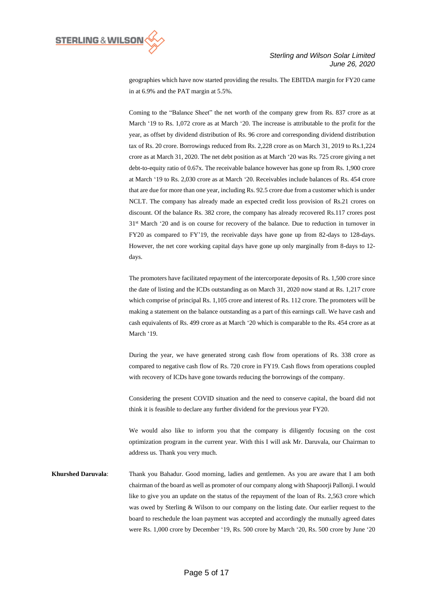

geographies which have now started providing the results. The EBITDA margin for FY20 came in at 6.9% and the PAT margin at 5.5%.

Coming to the "Balance Sheet" the net worth of the company grew from Rs. 837 crore as at March '19 to Rs. 1,072 crore as at March '20. The increase is attributable to the profit for the year, as offset by dividend distribution of Rs. 96 crore and corresponding dividend distribution tax of Rs. 20 crore. Borrowings reduced from Rs. 2,228 crore as on March 31, 2019 to Rs.1,224 crore as at March 31, 2020. The net debt position as at March '20 was Rs. 725 crore giving a net debt-to-equity ratio of 0.67x. The receivable balance however has gone up from Rs. 1,900 crore at March '19 to Rs. 2,030 crore as at March '20. Receivables include balances of Rs. 454 crore that are due for more than one year, including Rs. 92.5 crore due from a customer which is under NCLT. The company has already made an expected credit loss provision of Rs.21 crores on discount. Of the balance Rs. 382 crore, the company has already recovered Rs.117 crores post 31st March '20 and is on course for recovery of the balance. Due to reduction in turnover in FY20 as compared to FY'19, the receivable days have gone up from 82-days to 128-days. However, the net core working capital days have gone up only marginally from 8-days to 12 days.

The promoters have facilitated repayment of the intercorporate deposits of Rs. 1,500 crore since the date of listing and the ICDs outstanding as on March 31, 2020 now stand at Rs. 1,217 crore which comprise of principal Rs. 1,105 crore and interest of Rs. 112 crore. The promoters will be making a statement on the balance outstanding as a part of this earnings call. We have cash and cash equivalents of Rs. 499 crore as at March '20 which is comparable to the Rs. 454 crore as at March '19.

During the year, we have generated strong cash flow from operations of Rs. 338 crore as compared to negative cash flow of Rs. 720 crore in FY19. Cash flows from operations coupled with recovery of ICDs have gone towards reducing the borrowings of the company.

Considering the present COVID situation and the need to conserve capital, the board did not think it is feasible to declare any further dividend for the previous year FY20.

We would also like to inform you that the company is diligently focusing on the cost optimization program in the current year. With this I will ask Mr. Daruvala, our Chairman to address us. Thank you very much.

**Khurshed Daruvala**: Thank you Bahadur. Good morning, ladies and gentlemen. As you are aware that I am both chairman of the board as well as promoter of our company along with Shapoorji Pallonji. I would like to give you an update on the status of the repayment of the loan of Rs. 2,563 crore which was owed by Sterling & Wilson to our company on the listing date. Our earlier request to the board to reschedule the loan payment was accepted and accordingly the mutually agreed dates were Rs. 1,000 crore by December '19, Rs. 500 crore by March '20, Rs. 500 crore by June '20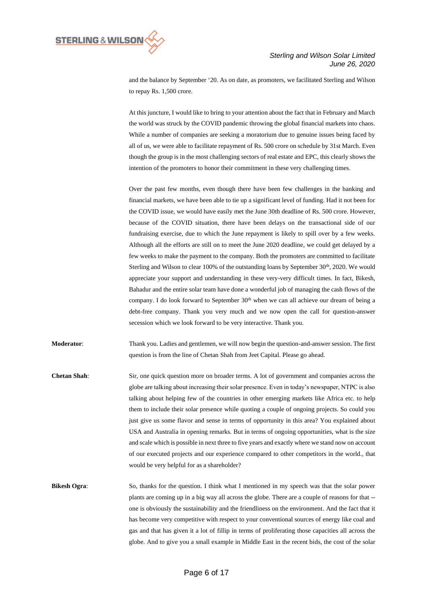

and the balance by September '20. As on date, as promoters, we facilitated Sterling and Wilson to repay Rs. 1,500 crore.

At this juncture, I would like to bring to your attention about the fact that in February and March the world was struck by the COVID pandemic throwing the global financial markets into chaos. While a number of companies are seeking a moratorium due to genuine issues being faced by all of us, we were able to facilitate repayment of Rs. 500 crore on schedule by 31st March. Even though the group is in the most challenging sectors of real estate and EPC, this clearly shows the intention of the promoters to honor their commitment in these very challenging times.

Over the past few months, even though there have been few challenges in the banking and financial markets, we have been able to tie up a significant level of funding. Had it not been for the COVID issue, we would have easily met the June 30th deadline of Rs. 500 crore. However, because of the COVID situation, there have been delays on the transactional side of our fundraising exercise, due to which the June repayment is likely to spill over by a few weeks. Although all the efforts are still on to meet the June 2020 deadline, we could get delayed by a few weeks to make the payment to the company. Both the promoters are committed to facilitate Sterling and Wilson to clear  $100\%$  of the outstanding loans by September 30<sup>th</sup>, 2020. We would appreciate your support and understanding in these very-very difficult times. In fact, Bikesh, Bahadur and the entire solar team have done a wonderful job of managing the cash flows of the company. I do look forward to September 30<sup>th</sup> when we can all achieve our dream of being a debt-free company. Thank you very much and we now open the call for question-answer secession which we look forward to be very interactive. Thank you.

**Moderator**: Thank you. Ladies and gentlemen, we will now begin the question-and-answer session. The first question is from the line of Chetan Shah from Jeet Capital. Please go ahead.

**Chetan Shah**: Sir, one quick question more on broader terms. A lot of government and companies across the globe are talking about increasing their solar presence. Even in today's newspaper, NTPC is also talking about helping few of the countries in other emerging markets like Africa etc. to help them to include their solar presence while quoting a couple of ongoing projects. So could you just give us some flavor and sense in terms of opportunity in this area? You explained about USA and Australia in opening remarks. But in terms of ongoing opportunities, what is the size and scale which is possible in next three to five years and exactly where we stand now on account of our executed projects and our experience compared to other competitors in the world., that would be very helpful for as a shareholder?

**Bikesh Ogra:** So, thanks for the question. I think what I mentioned in my speech was that the solar power plants are coming up in a big way all across the globe. There are a couple of reasons for that - one is obviously the sustainability and the friendliness on the environment. And the fact that it has become very competitive with respect to your conventional sources of energy like coal and gas and that has given it a lot of fillip in terms of proliferating those capacities all across the globe. And to give you a small example in Middle East in the recent bids, the cost of the solar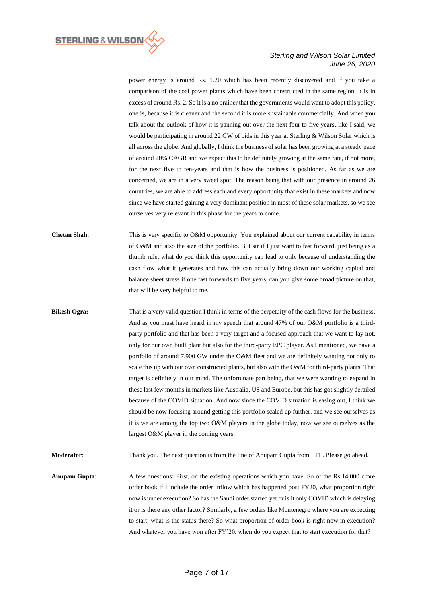

power energy is around Rs. 1.20 which has been recently discovered and if you take a comparison of the coal power plants which have been constructed in the same region, it is in excess of around Rs. 2. So it is a no brainer that the governments would want to adopt this policy, one is, because it is cleaner and the second it is more sustainable commercially. And when you talk about the outlook of how it is panning out over the next four to five years, like I said, we would be participating in around 22 GW of bids in this year at Sterling & Wilson Solar which is all across the globe. And globally, I think the business of solar has been growing at a steady pace of around 20% CAGR and we expect this to be definitely growing at the same rate, if not more, for the next five to ten-years and that is how the business is positioned. As far as we are concerned, we are in a very sweet spot. The reason being that with our presence in around 26 countries, we are able to address each and every opportunity that exist in these markets and now since we have started gaining a very dominant position in most of these solar markets, so we see ourselves very relevant in this phase for the years to come.

**Chetan Shah:** This is very specific to O&M opportunity. You explained about our current capability in terms of O&M and also the size of the portfolio. But sir if I just want to fast forward, just being as a thumb rule, what do you think this opportunity can lead to only because of understanding the cash flow what it generates and how this can actually bring down our working capital and balance sheet stress if one fast forwards to five years, can you give some broad picture on that, that will be very helpful to me.

**Bikesh Ogra:** That is a very valid question I think in terms of the perpetuity of the cash flows for the business. And as you must have heard in my speech that around 47% of our O&M portfolio is a thirdparty portfolio and that has been a very target and a focused approach that we want to lay not, only for our own built plant but also for the third-party EPC player. As I mentioned, we have a portfolio of around 7,900 GW under the O&M fleet and we are definitely wanting not only to scale this up with our own constructed plants, but also with the O&M for third-party plants. That target is definitely in our mind. The unfortunate part being, that we were wanting to expand in these last few months in markets like Australia, US and Europe, but this has got slightly derailed because of the COVID situation. And now since the COVID situation is easing out, I think we should be now focusing around getting this portfolio scaled up further. and we see ourselves as it is we are among the top two O&M players in the globe today, now we see ourselves as the largest O&M player in the coming years.

**Moderator**: Thank you. The next question is from the line of Anupam Gupta from IIFL. Please go ahead.

**Anupam Gupta:** A few questions: First, on the existing operations which you have. So of the Rs.14,000 crore order book if I include the order inflow which has happened post FY20, what proportion right now is under execution? So has the Saudi order started yet or is it only COVID which is delaying it or is there any other factor? Similarly, a few orders like Montenegro where you are expecting to start, what is the status there? So what proportion of order book is right now in execution? And whatever you have won after FY'20, when do you expect that to start execution for that?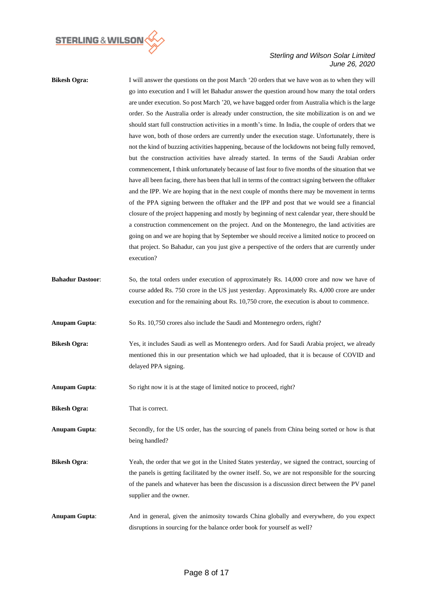

| <b>Bikesh Ogra:</b>     | I will answer the questions on the post March '20 orders that we have won as to when they will<br>go into execution and I will let Bahadur answer the question around how many the total orders<br>are under execution. So post March '20, we have bagged order from Australia which is the large<br>order. So the Australia order is already under construction, the site mobilization is on and we<br>should start full construction activities in a month's time. In India, the couple of orders that we<br>have won, both of those orders are currently under the execution stage. Unfortunately, there is<br>not the kind of buzzing activities happening, because of the lockdowns not being fully removed,<br>but the construction activities have already started. In terms of the Saudi Arabian order<br>commencement, I think unfortunately because of last four to five months of the situation that we<br>have all been facing, there has been that lull in terms of the contract signing between the offtaker<br>and the IPP. We are hoping that in the next couple of months there may be movement in terms<br>of the PPA signing between the offtaker and the IPP and post that we would see a financial |
|-------------------------|-------------------------------------------------------------------------------------------------------------------------------------------------------------------------------------------------------------------------------------------------------------------------------------------------------------------------------------------------------------------------------------------------------------------------------------------------------------------------------------------------------------------------------------------------------------------------------------------------------------------------------------------------------------------------------------------------------------------------------------------------------------------------------------------------------------------------------------------------------------------------------------------------------------------------------------------------------------------------------------------------------------------------------------------------------------------------------------------------------------------------------------------------------------------------------------------------------------------------|
|                         | closure of the project happening and mostly by beginning of next calendar year, there should be<br>a construction commencement on the project. And on the Montenegro, the land activities are<br>going on and we are hoping that by September we should receive a limited notice to proceed on<br>that project. So Bahadur, can you just give a perspective of the orders that are currently under<br>execution?                                                                                                                                                                                                                                                                                                                                                                                                                                                                                                                                                                                                                                                                                                                                                                                                        |
| <b>Bahadur Dastoor:</b> | So, the total orders under execution of approximately Rs. 14,000 crore and now we have of<br>course added Rs. 750 crore in the US just yesterday. Approximately Rs. 4,000 crore are under<br>execution and for the remaining about Rs. 10,750 crore, the execution is about to commence.                                                                                                                                                                                                                                                                                                                                                                                                                                                                                                                                                                                                                                                                                                                                                                                                                                                                                                                                |
| <b>Anupam Gupta:</b>    | So Rs. 10,750 crores also include the Saudi and Montenegro orders, right?                                                                                                                                                                                                                                                                                                                                                                                                                                                                                                                                                                                                                                                                                                                                                                                                                                                                                                                                                                                                                                                                                                                                               |
| <b>Bikesh Ogra:</b>     | Yes, it includes Saudi as well as Montenegro orders. And for Saudi Arabia project, we already<br>mentioned this in our presentation which we had uploaded, that it is because of COVID and<br>delayed PPA signing.                                                                                                                                                                                                                                                                                                                                                                                                                                                                                                                                                                                                                                                                                                                                                                                                                                                                                                                                                                                                      |
| <b>Anupam Gupta:</b>    | So right now it is at the stage of limited notice to proceed, right?                                                                                                                                                                                                                                                                                                                                                                                                                                                                                                                                                                                                                                                                                                                                                                                                                                                                                                                                                                                                                                                                                                                                                    |
| <b>Bikesh Ogra:</b>     | That is correct.                                                                                                                                                                                                                                                                                                                                                                                                                                                                                                                                                                                                                                                                                                                                                                                                                                                                                                                                                                                                                                                                                                                                                                                                        |
| <b>Anupam Gupta:</b>    | Secondly, for the US order, has the sourcing of panels from China being sorted or how is that<br>being handled?                                                                                                                                                                                                                                                                                                                                                                                                                                                                                                                                                                                                                                                                                                                                                                                                                                                                                                                                                                                                                                                                                                         |
| <b>Bikesh Ogra:</b>     | Yeah, the order that we got in the United States yesterday, we signed the contract, sourcing of<br>the panels is getting facilitated by the owner itself. So, we are not responsible for the sourcing<br>of the panels and whatever has been the discussion is a discussion direct between the PV panel<br>supplier and the owner.                                                                                                                                                                                                                                                                                                                                                                                                                                                                                                                                                                                                                                                                                                                                                                                                                                                                                      |
| <b>Anupam Gupta:</b>    | And in general, given the animosity towards China globally and everywhere, do you expect<br>disruptions in sourcing for the balance order book for yourself as well?                                                                                                                                                                                                                                                                                                                                                                                                                                                                                                                                                                                                                                                                                                                                                                                                                                                                                                                                                                                                                                                    |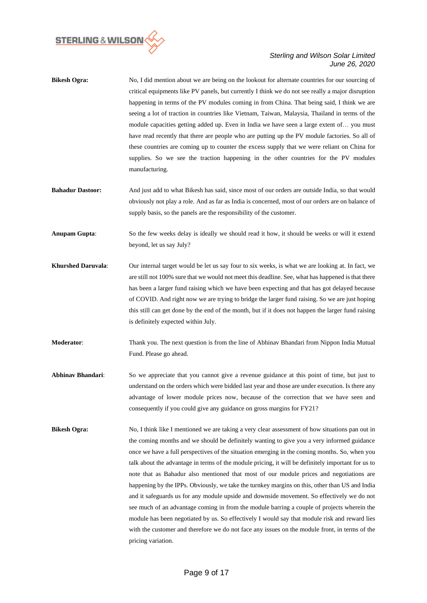

- **Bikesh Ogra:** No, I did mention about we are being on the lookout for alternate countries for our sourcing of critical equipments like PV panels, but currently I think we do not see really a major disruption happening in terms of the PV modules coming in from China. That being said, I think we are seeing a lot of traction in countries like Vietnam, Taiwan, Malaysia, Thailand in terms of the module capacities getting added up. Even in India we have seen a large extent of… you must have read recently that there are people who are putting up the PV module factories. So all of these countries are coming up to counter the excess supply that we were reliant on China for supplies. So we see the traction happening in the other countries for the PV modules manufacturing.
- **Bahadur Dastoor:** And just add to what Bikesh has said, since most of our orders are outside India, so that would obviously not play a role. And as far as India is concerned, most of our orders are on balance of supply basis, so the panels are the responsibility of the customer.
- **Anupam Gupta:** So the few weeks delay is ideally we should read it how, it should be weeks or will it extend beyond, let us say July?
- **Khurshed Daruvala**: Our internal target would be let us say four to six weeks, is what we are looking at. In fact, we are still not 100% sure that we would not meet this deadline. See, what has happened is that there has been a larger fund raising which we have been expecting and that has got delayed because of COVID. And right now we are trying to bridge the larger fund raising. So we are just hoping this still can get done by the end of the month, but if it does not happen the larger fund raising is definitely expected within July.
- **Moderator**: Thank you. The next question is from the line of Abhinav Bhandari from Nippon India Mutual Fund. Please go ahead.
- **Abhinav Bhandari**: So we appreciate that you cannot give a revenue guidance at this point of time, but just to understand on the orders which were bidded last year and those are under execution. Is there any advantage of lower module prices now, because of the correction that we have seen and consequently if you could give any guidance on gross margins for FY21?
- **Bikesh Ogra:** No, I think like I mentioned we are taking a very clear assessment of how situations pan out in the coming months and we should be definitely wanting to give you a very informed guidance once we have a full perspectives of the situation emerging in the coming months. So, when you talk about the advantage in terms of the module pricing, it will be definitely important for us to note that as Bahadur also mentioned that most of our module prices and negotiations are happening by the IPPs. Obviously, we take the turnkey margins on this, other than US and India and it safeguards us for any module upside and downside movement. So effectively we do not see much of an advantage coming in from the module barring a couple of projects wherein the module has been negotiated by us. So effectively I would say that module risk and reward lies with the customer and therefore we do not face any issues on the module front, in terms of the pricing variation.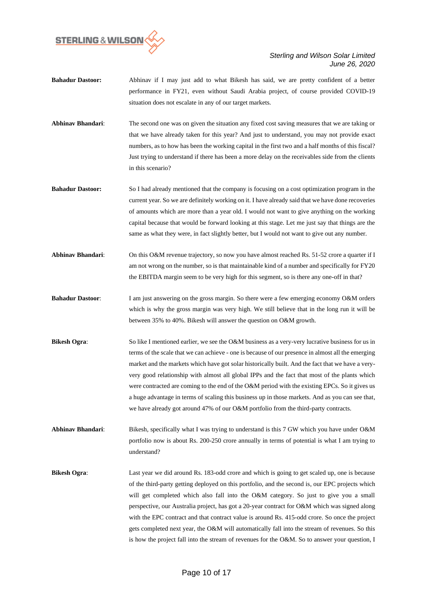

- **Bahadur Dastoor:** Abhinav if I may just add to what Bikesh has said, we are pretty confident of a better performance in FY21, even without Saudi Arabia project, of course provided COVID-19 situation does not escalate in any of our target markets.
- **Abhinav Bhandari**: The second one was on given the situation any fixed cost saving measures that we are taking or that we have already taken for this year? And just to understand, you may not provide exact numbers, as to how has been the working capital in the first two and a half months of this fiscal? Just trying to understand if there has been a more delay on the receivables side from the clients in this scenario?
- **Bahadur Dastoor:** So I had already mentioned that the company is focusing on a cost optimization program in the current year. So we are definitely working on it. I have already said that we have done recoveries of amounts which are more than a year old. I would not want to give anything on the working capital because that would be forward looking at this stage. Let me just say that things are the same as what they were, in fact slightly better, but I would not want to give out any number.
- **Abhinav Bhandari**: On this O&M revenue trajectory, so now you have almost reached Rs. 51-52 crore a quarter if I am not wrong on the number, so is that maintainable kind of a number and specifically for FY20 the EBITDA margin seem to be very high for this segment, so is there any one-off in that?
- **Bahadur Dastoor**: I am just answering on the gross margin. So there were a few emerging economy O&M orders which is why the gross margin was very high. We still believe that in the long run it will be between 35% to 40%. Bikesh will answer the question on O&M growth.
- **Bikesh <b>Ogra**: So like I mentioned earlier, we see the O&M business as a very-very lucrative business for us in terms of the scale that we can achieve - one is because of our presence in almost all the emerging market and the markets which have got solar historically built. And the fact that we have a veryvery good relationship with almost all global IPPs and the fact that most of the plants which were contracted are coming to the end of the O&M period with the existing EPCs. So it gives us a huge advantage in terms of scaling this business up in those markets. And as you can see that, we have already got around 47% of our O&M portfolio from the third-party contracts.

**Abhinav Bhandari**: Bikesh, specifically what I was trying to understand is this 7 GW which you have under O&M portfolio now is about Rs. 200-250 crore annually in terms of potential is what I am trying to understand?

**Bikesh Ogra**: Last year we did around Rs. 183-odd crore and which is going to get scaled up, one is because of the third-party getting deployed on this portfolio, and the second is, our EPC projects which will get completed which also fall into the O&M category. So just to give you a small perspective, our Australia project, has got a 20-year contract for O&M which was signed along with the EPC contract and that contract value is around Rs. 415-odd crore. So once the project gets completed next year, the O&M will automatically fall into the stream of revenues. So this is how the project fall into the stream of revenues for the O&M. So to answer your question, I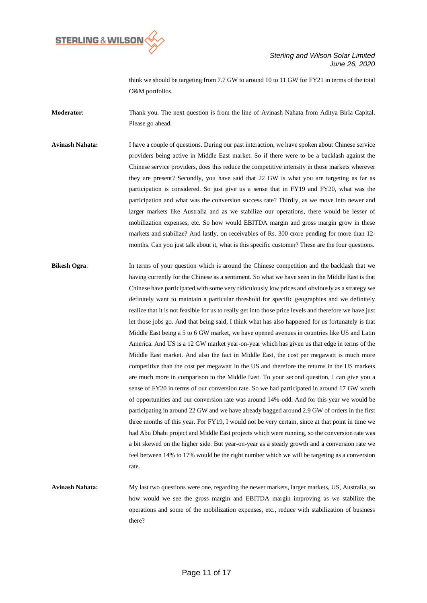

think we should be targeting from 7.7 GW to around 10 to 11 GW for FY21 in terms of the total O&M portfolios.

**Moderator**: Thank you. The next question is from the line of Avinash Nahata from Aditya Birla Capital. Please go ahead.

**Avinash Nahata:** I have a couple of questions. During our past interaction, we have spoken about Chinese service providers being active in Middle East market. So if there were to be a backlash against the Chinese service providers, does this reduce the competitive intensity in those markets wherever they are present? Secondly, you have said that 22 GW is what you are targeting as far as participation is considered. So just give us a sense that in FY19 and FY20, what was the participation and what was the conversion success rate? Thirdly, as we move into newer and larger markets like Australia and as we stabilize our operations, there would be lesser of mobilization expenses, etc. So how would EBITDA margin and gross margin grow in these markets and stabilize? And lastly, on receivables of Rs. 300 crore pending for more than 12 months. Can you just talk about it, what is this specific customer? These are the four questions.

**Bikesh Ogra:** In terms of your question which is around the Chinese competition and the backlash that we having currently for the Chinese as a sentiment. So what we have seen in the Middle East is that Chinese have participated with some very ridiculously low prices and obviously as a strategy we definitely want to maintain a particular threshold for specific geographies and we definitely realize that it is not feasible for us to really get into those price levels and therefore we have just let those jobs go. And that being said, I think what has also happened for us fortunately is that Middle East being a 5 to 6 GW market, we have opened avenues in countries like US and Latin America. And US is a 12 GW market year-on-year which has given us that edge in terms of the Middle East market. And also the fact in Middle East, the cost per megawatt is much more competitive than the cost per megawatt in the US and therefore the returns in the US markets are much more in comparison to the Middle East. To your second question, I can give you a sense of FY20 in terms of our conversion rate. So we had participated in around 17 GW worth of opportunities and our conversion rate was around 14%-odd. And for this year we would be participating in around 22 GW and we have already bagged around 2.9 GW of orders in the first three months of this year. For FY19, I would not be very certain, since at that point in time we had Abu Dhabi project and Middle East projects which were running, so the conversion rate was a bit skewed on the higher side. But year-on-year as a steady growth and a conversion rate we feel between 14% to 17% would be the right number which we will be targeting as a conversion rate.

**Avinash Nahata:** My last two questions were one, regarding the newer markets, larger markets, US, Australia, so how would we see the gross margin and EBITDA margin improving as we stabilize the operations and some of the mobilization expenses, etc., reduce with stabilization of business there?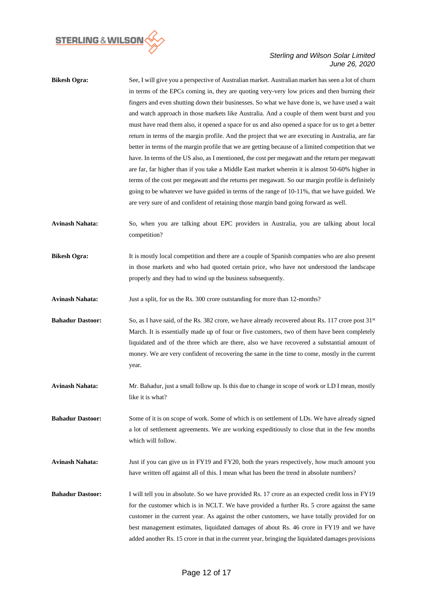

| <b>Bikesh Ogra:</b>     | See, I will give you a perspective of Australian market. Australian market has seen a lot of churn<br>in terms of the EPCs coming in, they are quoting very-very low prices and then burning their |
|-------------------------|----------------------------------------------------------------------------------------------------------------------------------------------------------------------------------------------------|
|                         | fingers and even shutting down their businesses. So what we have done is, we have used a wait                                                                                                      |
|                         | and watch approach in those markets like Australia. And a couple of them went burst and you                                                                                                        |
|                         | must have read them also, it opened a space for us and also opened a space for us to get a better                                                                                                  |
|                         | return in terms of the margin profile. And the project that we are executing in Australia, are far                                                                                                 |
|                         | better in terms of the margin profile that we are getting because of a limited competition that we                                                                                                 |
|                         | have. In terms of the US also, as I mentioned, the cost per megawatt and the return per megawatt                                                                                                   |
|                         | are far, far higher than if you take a Middle East market wherein it is almost 50-60% higher in                                                                                                    |
|                         | terms of the cost per megawatt and the returns per megawatt. So our margin profile is definitely                                                                                                   |
|                         |                                                                                                                                                                                                    |
|                         | going to be whatever we have guided in terms of the range of 10-11%, that we have guided. We<br>are very sure of and confident of retaining those margin band going forward as well.               |
|                         |                                                                                                                                                                                                    |
| <b>Avinash Nahata:</b>  | So, when you are talking about EPC providers in Australia, you are talking about local                                                                                                             |
|                         | competition?                                                                                                                                                                                       |
| <b>Bikesh Ogra:</b>     | It is mostly local competition and there are a couple of Spanish companies who are also present                                                                                                    |
|                         | in those markets and who had quoted certain price, who have not understood the landscape                                                                                                           |
|                         | properly and they had to wind up the business subsequently.                                                                                                                                        |
| <b>Avinash Nahata:</b>  | Just a split, for us the Rs. 300 crore outstanding for more than 12-months?                                                                                                                        |
| <b>Bahadur Dastoor:</b> | So, as I have said, of the Rs. 382 crore, we have already recovered about Rs. 117 crore post $31st$                                                                                                |
|                         | March. It is essentially made up of four or five customers, two of them have been completely                                                                                                       |
|                         | liquidated and of the three which are there, also we have recovered a substantial amount of                                                                                                        |
|                         | money. We are very confident of recovering the same in the time to come, mostly in the current                                                                                                     |
|                         | year.                                                                                                                                                                                              |
| <b>Avinash Nahata:</b>  | Mr. Bahadur, just a small follow up. Is this due to change in scope of work or LD I mean, mostly                                                                                                   |
|                         | like it is what?                                                                                                                                                                                   |
| <b>Bahadur Dastoor:</b> | Some of it is on scope of work. Some of which is on settlement of LDs. We have already signed                                                                                                      |
|                         |                                                                                                                                                                                                    |
|                         | a lot of settlement agreements. We are working expeditiously to close that in the few months<br>which will follow.                                                                                 |
| <b>Avinash Nahata:</b>  | Just if you can give us in FY19 and FY20, both the years respectively, how much amount you                                                                                                         |
|                         | have written off against all of this. I mean what has been the trend in absolute numbers?                                                                                                          |
| <b>Bahadur Dastoor:</b> | I will tell you in absolute. So we have provided Rs. 17 crore as an expected credit loss in FY19                                                                                                   |
|                         | for the customer which is in NCLT. We have provided a further Rs. 5 crore against the same                                                                                                         |
|                         | customer in the current year. As against the other customers, we have totally provided for on                                                                                                      |
|                         | best management estimates, liquidated damages of about Rs. 46 crore in FY19 and we have                                                                                                            |
|                         | added another Rs. 15 crore in that in the current year, bringing the liquidated damages provisions                                                                                                 |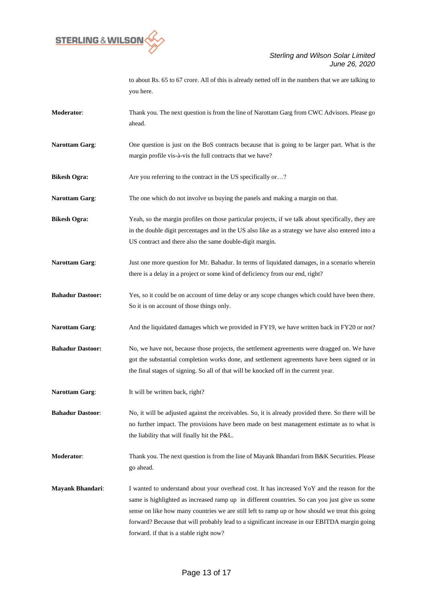

|                         | to about Rs. 65 to 67 crore. All of this is already netted off in the numbers that we are talking to<br>you here.                                                                                                                                                                                                                                                                                                                            |
|-------------------------|----------------------------------------------------------------------------------------------------------------------------------------------------------------------------------------------------------------------------------------------------------------------------------------------------------------------------------------------------------------------------------------------------------------------------------------------|
| <b>Moderator:</b>       | Thank you. The next question is from the line of Narottam Garg from CWC Advisors. Please go<br>ahead.                                                                                                                                                                                                                                                                                                                                        |
| <b>Narottam Garg:</b>   | One question is just on the BoS contracts because that is going to be larger part. What is the<br>margin profile vis-à-vis the full contracts that we have?                                                                                                                                                                                                                                                                                  |
| <b>Bikesh Ogra:</b>     | Are you referring to the contract in the US specifically or?                                                                                                                                                                                                                                                                                                                                                                                 |
| <b>Narottam Garg:</b>   | The one which do not involve us buying the panels and making a margin on that.                                                                                                                                                                                                                                                                                                                                                               |
| <b>Bikesh Ogra:</b>     | Yeah, so the margin profiles on those particular projects, if we talk about specifically, they are<br>in the double digit percentages and in the US also like as a strategy we have also entered into a<br>US contract and there also the same double-digit margin.                                                                                                                                                                          |
| <b>Narottam Garg:</b>   | Just one more question for Mr. Bahadur. In terms of liquidated damages, in a scenario wherein<br>there is a delay in a project or some kind of deficiency from our end, right?                                                                                                                                                                                                                                                               |
| <b>Bahadur Dastoor:</b> | Yes, so it could be on account of time delay or any scope changes which could have been there.<br>So it is on account of those things only.                                                                                                                                                                                                                                                                                                  |
| <b>Narottam Garg:</b>   | And the liquidated damages which we provided in FY19, we have written back in FY20 or not?                                                                                                                                                                                                                                                                                                                                                   |
| <b>Bahadur Dastoor:</b> | No, we have not, because those projects, the settlement agreements were dragged on. We have<br>got the substantial completion works done, and settlement agreements have been signed or in<br>the final stages of signing. So all of that will be knocked off in the current year.                                                                                                                                                           |
| <b>Narottam Garg:</b>   | It will be written back, right?                                                                                                                                                                                                                                                                                                                                                                                                              |
| <b>Bahadur Dastoor:</b> | No, it will be adjusted against the receivables. So, it is already provided there. So there will be<br>no further impact. The provisions have been made on best management estimate as to what is<br>the liability that will finally hit the P&L.                                                                                                                                                                                            |
| <b>Moderator:</b>       | Thank you. The next question is from the line of Mayank Bhandari from B&K Securities. Please<br>go ahead.                                                                                                                                                                                                                                                                                                                                    |
| <b>Mayank Bhandari:</b> | I wanted to understand about your overhead cost. It has increased YoY and the reason for the<br>same is highlighted as increased ramp up in different countries. So can you just give us some<br>sense on like how many countries we are still left to ramp up or how should we treat this going<br>forward? Because that will probably lead to a significant increase in our EBITDA margin going<br>forward. if that is a stable right now? |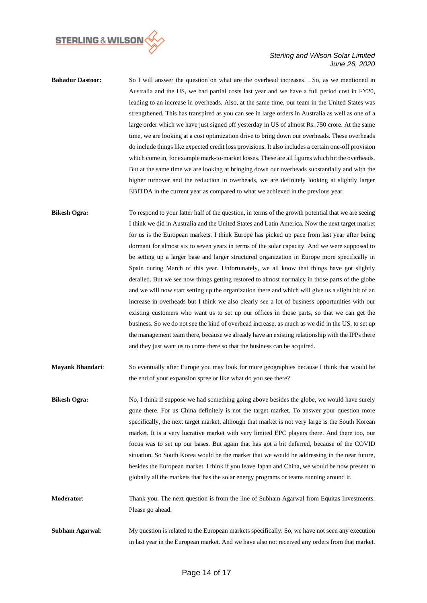

- **Bahadur Dastoor:** So I will answer the question on what are the overhead increases. . So, as we mentioned in Australia and the US, we had partial costs last year and we have a full period cost in FY20, leading to an increase in overheads. Also, at the same time, our team in the United States was strengthened. This has transpired as you can see in large orders in Australia as well as one of a large order which we have just signed off yesterday in US of almost Rs. 750 crore. At the same time, we are looking at a cost optimization drive to bring down our overheads. These overheads do include things like expected credit loss provisions. It also includes a certain one-off provision which come in, for example mark-to-market losses. These are all figures which hit the overheads. But at the same time we are looking at bringing down our overheads substantially and with the higher turnover and the reduction in overheads, we are definitely looking at slightly larger EBITDA in the current year as compared to what we achieved in the previous year.
- **Bikesh Ogra:** To respond to your latter half of the question, in terms of the growth potential that we are seeing I think we did in Australia and the United States and Latin America. Now the next target market for us is the European markets. I think Europe has picked up pace from last year after being dormant for almost six to seven years in terms of the solar capacity. And we were supposed to be setting up a larger base and larger structured organization in Europe more specifically in Spain during March of this year. Unfortunately, we all know that things have got slightly derailed. But we see now things getting restored to almost normalcy in those parts of the globe and we will now start setting up the organization there and which will give us a slight bit of an increase in overheads but I think we also clearly see a lot of business opportunities with our existing customers who want us to set up our offices in those parts, so that we can get the business. So we do not see the kind of overhead increase, as much as we did in the US, to set up the management team there, because we already have an existing relationship with the IPPs there and they just want us to come there so that the business can be acquired.
- **Mayank Bhandari**: So eventually after Europe you may look for more geographies because I think that would be the end of your expansion spree or like what do you see there?
- **Bikesh Ogra:** No, I think if suppose we had something going above besides the globe, we would have surely gone there. For us China definitely is not the target market. To answer your question more specifically, the next target market, although that market is not very large is the South Korean market. It is a very lucrative market with very limited EPC players there. And there too, our focus was to set up our bases. But again that has got a bit deferred, because of the COVID situation. So South Korea would be the market that we would be addressing in the near future, besides the European market. I think if you leave Japan and China, we would be now present in globally all the markets that has the solar energy programs or teams running around it.
- **Moderator**: Thank you. The next question is from the line of Subham Agarwal from Equitas Investments. Please go ahead.
- **Subham Agarwal:** My question is related to the European markets specifically. So, we have not seen any execution in last year in the European market. And we have also not received any orders from that market.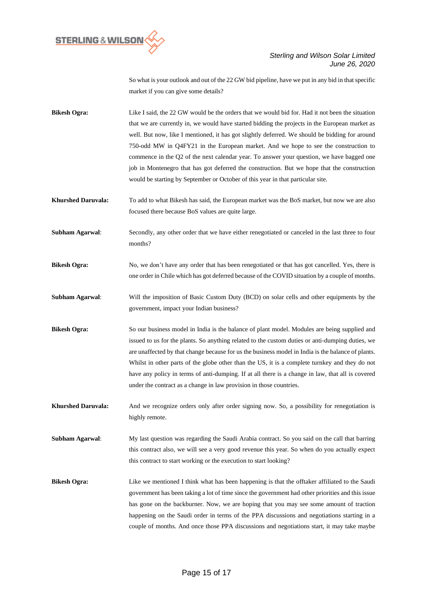

So what is your outlook and out of the 22 GW bid pipeline, have we put in any bid in that specific market if you can give some details?

**Bikesh Ogra:** Like I said, the 22 GW would be the orders that we would bid for. Had it not been the situation that we are currently in, we would have started bidding the projects in the European market as well. But now, like I mentioned, it has got slightly deferred. We should be bidding for around 750-odd MW in Q4FY21 in the European market. And we hope to see the construction to commence in the Q2 of the next calendar year. To answer your question, we have bagged one job in Montenegro that has got deferred the construction. But we hope that the construction would be starting by September or October of this year in that particular site.

**Khurshed Daruvala:** To add to what Bikesh has said, the European market was the BoS market, but now we are also focused there because BoS values are quite large.

**Subham Agarwal:** Secondly, any other order that we have either renegotiated or canceled in the last three to four months?

**Bikesh Ogra:** No, we don't have any order that has been renegotiated or that has got cancelled. Yes, there is one order in Chile which has got deferred because of the COVID situation by a couple of months.

**Subham Agarwal**: Will the imposition of Basic Custom Duty (BCD) on solar cells and other equipments by the government, impact your Indian business?

**Bikesh Ogra:** So our business model in India is the balance of plant model. Modules are being supplied and issued to us for the plants. So anything related to the custom duties or anti-dumping duties, we are unaffected by that change because for us the business model in India is the balance of plants. Whilst in other parts of the globe other than the US, it is a complete turnkey and they do not have any policy in terms of anti-dumping. If at all there is a change in law, that all is covered under the contract as a change in law provision in those countries.

**Khurshed Daruvala:** And we recognize orders only after order signing now. So, a possibility for renegotiation is highly remote.

**Subham Agarwal**: My last question was regarding the Saudi Arabia contract. So you said on the call that barring this contract also, we will see a very good revenue this year. So when do you actually expect this contract to start working or the execution to start looking?

**Bikesh Ogra:** Like we mentioned I think what has been happening is that the offtaker affiliated to the Saudi government has been taking a lot of time since the government had other priorities and this issue has gone on the backburner. Now, we are hoping that you may see some amount of traction happening on the Saudi order in terms of the PPA discussions and negotiations starting in a couple of months. And once those PPA discussions and negotiations start, it may take maybe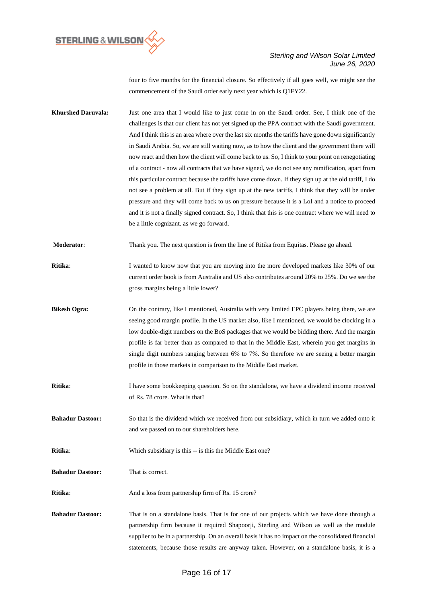

four to five months for the financial closure. So effectively if all goes well, we might see the commencement of the Saudi order early next year which is Q1FY22.

- **Khurshed Daruvala:** Just one area that I would like to just come in on the Saudi order. See, I think one of the challenges is that our client has not yet signed up the PPA contract with the Saudi government. And I think this is an area where over the last six months the tariffs have gone down significantly in Saudi Arabia. So, we are still waiting now, as to how the client and the government there will now react and then how the client will come back to us. So, I think to your point on renegotiating of a contract - now all contracts that we have signed, we do not see any ramification, apart from this particular contract because the tariffs have come down. If they sign up at the old tariff, I do not see a problem at all. But if they sign up at the new tariffs, I think that they will be under pressure and they will come back to us on pressure because it is a LoI and a notice to proceed and it is not a finally signed contract. So, I think that this is one contract where we will need to be a little cognizant. as we go forward.
- **Moderator**: Thank you. The next question is from the line of Ritika from Equitas. Please go ahead.
- **Ritika**: I wanted to know now that you are moving into the more developed markets like 30% of our current order book is from Australia and US also contributes around 20% to 25%. Do we see the gross margins being a little lower?
- **Bikesh Ogra:** On the contrary, like I mentioned, Australia with very limited EPC players being there, we are seeing good margin profile. In the US market also, like I mentioned, we would be clocking in a low double-digit numbers on the BoS packages that we would be bidding there. And the margin profile is far better than as compared to that in the Middle East, wherein you get margins in single digit numbers ranging between 6% to 7%. So therefore we are seeing a better margin profile in those markets in comparison to the Middle East market.
- **Ritika:** I have some bookkeeping question. So on the standalone, we have a dividend income received of Rs. 78 crore. What is that?

**Bahadur Dastoor:** So that is the dividend which we received from our subsidiary, which in turn we added onto it and we passed on to our shareholders here.

**Ritika**: Which subsidiary is this -- is this the Middle East one?

**Bahadur Dastoor:** That is correct.

**Ritika:** And a loss from partnership firm of Rs. 15 crore?

**Bahadur Dastoor:** That is on a standalone basis. That is for one of our projects which we have done through a partnership firm because it required Shapoorji, Sterling and Wilson as well as the module supplier to be in a partnership. On an overall basis it has no impact on the consolidated financial statements, because those results are anyway taken. However, on a standalone basis, it is a